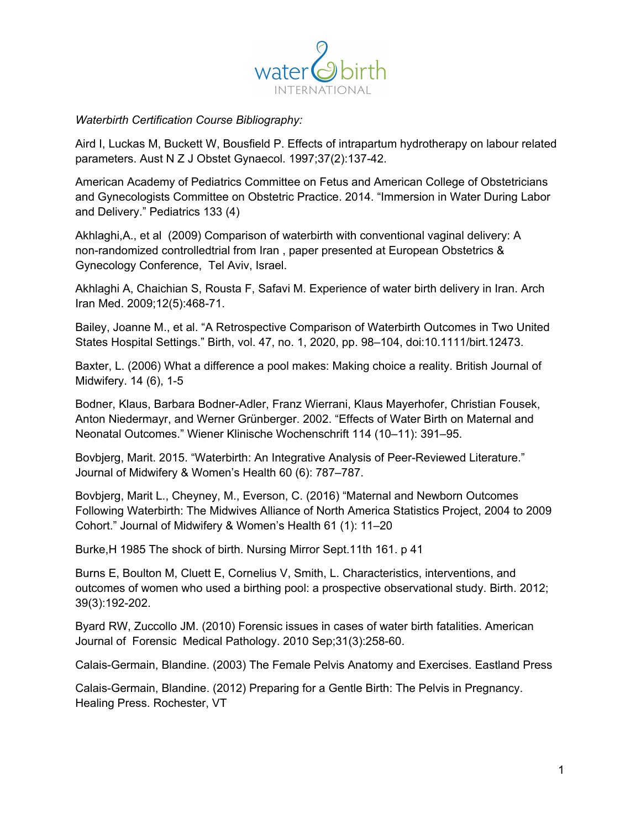

*Waterbirth Certification Course Bibliography:*

Aird I, Luckas M, Buckett W, Bousfield P. Effects of intrapartum hydrotherapy on labour related parameters. Aust N Z J Obstet Gynaecol. 1997;37(2):137-42.

American Academy of Pediatrics Committee on Fetus and American College of Obstetricians and Gynecologists Committee on Obstetric Practice. 2014. "Immersion in Water During Labor and Delivery." Pediatrics 133 (4)

Akhlaghi,A., et al (2009) Comparison of waterbirth with conventional vaginal delivery: A non-randomized controlledtrial from Iran , paper presented at European Obstetrics & Gynecology Conference, Tel Aviv, Israel.

Akhlaghi A, Chaichian S, Rousta F, Safavi M. Experience of water birth delivery in Iran. Arch Iran Med. 2009;12(5):468-71.

Bailey, Joanne M., et al. "A Retrospective Comparison of Waterbirth Outcomes in Two United States Hospital Settings." Birth, vol. 47, no. 1, 2020, pp. 98–104, doi:10.1111/birt.12473.

Baxter, L. (2006) What a difference a pool makes: Making choice a reality. British Journal of Midwifery. 14 (6), 1-5

Bodner, Klaus, Barbara Bodner-Adler, Franz Wierrani, Klaus Mayerhofer, Christian Fousek, Anton Niedermayr, and Werner Grünberger. 2002. "Effects of Water Birth on Maternal and Neonatal Outcomes." Wiener Klinische Wochenschrift 114 (10–11): 391–95.

Bovbjerg, Marit. 2015. "Waterbirth: An Integrative Analysis of Peer-Reviewed Literature." Journal of Midwifery & Women's Health 60 (6): 787–787.

Bovbjerg, Marit L., Cheyney, M., Everson, C. (2016) "Maternal and Newborn Outcomes Following Waterbirth: The Midwives Alliance of North America Statistics Project, 2004 to 2009 Cohort." Journal of Midwifery & Women's Health 61 (1): 11–20

Burke,H 1985 The shock of birth. Nursing Mirror Sept.11th 161. p 41

Burns E, Boulton M, Cluett E, Cornelius V, Smith, L. Characteristics, interventions, and outcomes of women who used a birthing pool: a prospective observational study. Birth. 2012; 39(3):192-202.

Byard RW, Zuccollo JM. (2010) Forensic issues in cases of water birth fatalities. American Journal of Forensic Medical Pathology. 2010 Sep;31(3):258-60.

Calais-Germain, Blandine. (2003) The Female Pelvis Anatomy and Exercises. Eastland Press

Calais-Germain, Blandine. (2012) Preparing for a Gentle Birth: The Pelvis in Pregnancy. Healing Press. Rochester, VT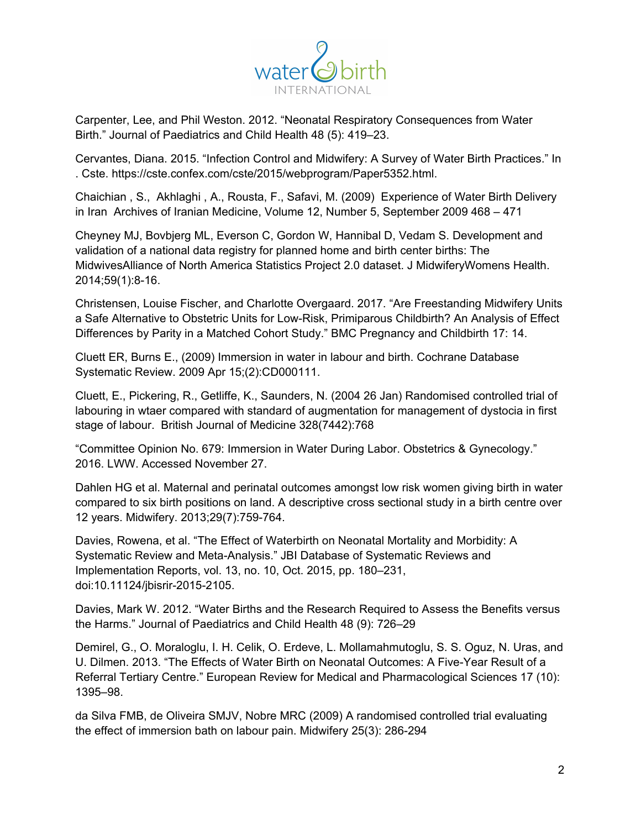

Carpenter, Lee, and Phil Weston. 2012. "Neonatal Respiratory Consequences from Water Birth." Journal of Paediatrics and Child Health 48 (5): 419–23.

Cervantes, Diana. 2015. "Infection Control and Midwifery: A Survey of Water Birth Practices." In . Cste. https://cste.confex.com/cste/2015/webprogram/Paper5352.html.

Chaichian , S., Akhlaghi , A., Rousta, F., Safavi, M. (2009) Experience of Water Birth Delivery in Iran Archives of Iranian Medicine, Volume 12, Number 5, September 2009 468 – 471

Cheyney MJ, Bovbjerg ML, Everson C, Gordon W, Hannibal D, Vedam S. Development and validation of a national data registry for planned home and birth center births: The MidwivesAlliance of North America Statistics Project 2.0 dataset. J MidwiferyWomens Health. 2014;59(1):8-16.

Christensen, Louise Fischer, and Charlotte Overgaard. 2017. "Are Freestanding Midwifery Units a Safe Alternative to Obstetric Units for Low-Risk, Primiparous Childbirth? An Analysis of Effect Differences by Parity in a Matched Cohort Study." BMC Pregnancy and Childbirth 17: 14.

Cluett ER, Burns E., (2009) Immersion in water in labour and birth. Cochrane Database Systematic Review. 2009 Apr 15;(2):CD000111.

Cluett, E., Pickering, R., Getliffe, K., Saunders, N. (2004 26 Jan) Randomised controlled trial of labouring in wtaer compared with standard of augmentation for management of dystocia in first stage of labour. British Journal of Medicine 328(7442):768

"Committee Opinion No. 679: Immersion in Water During Labor. Obstetrics & Gynecology." 2016. LWW. Accessed November 27.

Dahlen HG et al. Maternal and perinatal outcomes amongst low risk women giving birth in water compared to six birth positions on land. A descriptive cross sectional study in a birth centre over 12 years. Midwifery. 2013;29(7):759-764.

Davies, Rowena, et al. "The Effect of Waterbirth on Neonatal Mortality and Morbidity: A Systematic Review and Meta-Analysis." JBI Database of Systematic Reviews and Implementation Reports, vol. 13, no. 10, Oct. 2015, pp. 180–231, doi:10.11124/jbisrir-2015-2105.

Davies, Mark W. 2012. "Water Births and the Research Required to Assess the Benefits versus the Harms." Journal of Paediatrics and Child Health 48 (9): 726–29

Demirel, G., O. Moraloglu, I. H. Celik, O. Erdeve, L. Mollamahmutoglu, S. S. Oguz, N. Uras, and U. Dilmen. 2013. "The Effects of Water Birth on Neonatal Outcomes: A Five-Year Result of a Referral Tertiary Centre." European Review for Medical and Pharmacological Sciences 17 (10): 1395–98.

da Silva FMB, de Oliveira SMJV, Nobre MRC (2009) A randomised controlled trial evaluating the effect of immersion bath on labour pain. Midwifery 25(3): 286-294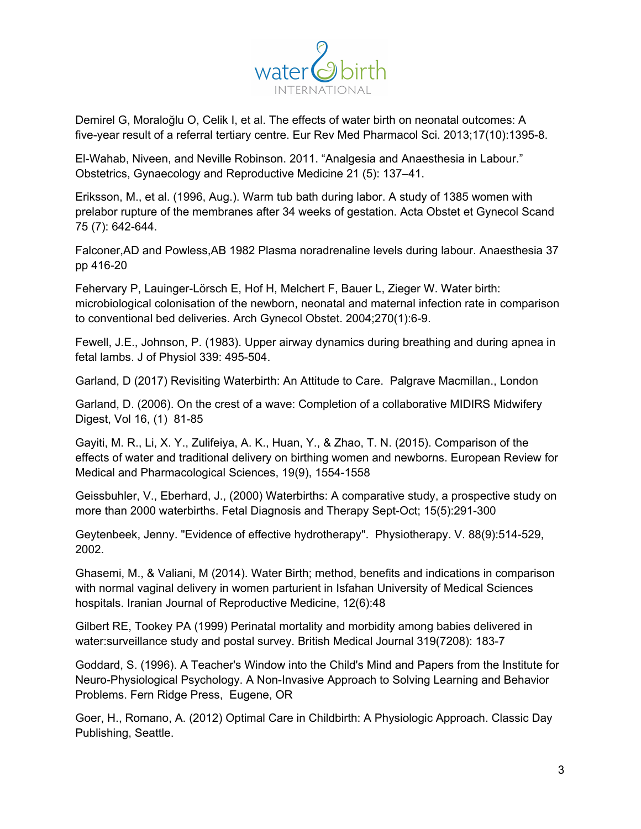

Demirel G, Moraloğlu O, Celik I, et al. The effects of water birth on neonatal outcomes: A five-year result of a referral tertiary centre. Eur Rev Med Pharmacol Sci. 2013;17(10):1395-8.

El-Wahab, Niveen, and Neville Robinson. 2011. "Analgesia and Anaesthesia in Labour." Obstetrics, Gynaecology and Reproductive Medicine 21 (5): 137–41.

Eriksson, M., et al. (1996, Aug.). Warm tub bath during labor. A study of 1385 women with prelabor rupture of the membranes after 34 weeks of gestation. Acta Obstet et Gynecol Scand 75 (7): 642-644.

Falconer,AD and Powless,AB 1982 Plasma noradrenaline levels during labour. Anaesthesia 37 pp 416-20

Fehervary P, Lauinger-Lörsch E, Hof H, Melchert F, Bauer L, Zieger W. Water birth: microbiological colonisation of the newborn, neonatal and maternal infection rate in comparison to conventional bed deliveries. Arch Gynecol Obstet. 2004;270(1):6-9.

Fewell, J.E., Johnson, P. (1983). Upper airway dynamics during breathing and during apnea in fetal lambs. J of Physiol 339: 495-504.

Garland, D (2017) Revisiting Waterbirth: An Attitude to Care. Palgrave Macmillan., London

Garland, D. (2006). On the crest of a wave: Completion of a collaborative MIDIRS Midwifery Digest, Vol 16, (1) 81-85

Gayiti, M. R., Li, X. Y., Zulifeiya, A. K., Huan, Y., & Zhao, T. N. (2015). Comparison of the effects of water and traditional delivery on birthing women and newborns. European Review for Medical and Pharmacological Sciences, 19(9), 1554-1558

Geissbuhler, V., Eberhard, J., (2000) Waterbirths: A comparative study, a prospective study on more than 2000 waterbirths. Fetal Diagnosis and Therapy Sept-Oct; 15(5):291-300

Geytenbeek, Jenny. "Evidence of effective hydrotherapy". Physiotherapy. V. 88(9):514-529, 2002.

Ghasemi, M., & Valiani, M (2014). Water Birth; method, benefits and indications in comparison with normal vaginal delivery in women parturient in Isfahan University of Medical Sciences hospitals. Iranian Journal of Reproductive Medicine, 12(6):48

Gilbert RE, Tookey PA (1999) Perinatal mortality and morbidity among babies delivered in water:surveillance study and postal survey. British Medical Journal 319(7208): 183-7

Goddard, S. (1996). A Teacher's Window into the Child's Mind and Papers from the Institute for Neuro-Physiological Psychology. A Non-Invasive Approach to Solving Learning and Behavior Problems. Fern Ridge Press, Eugene, OR

Goer, H., Romano, A. (2012) Optimal Care in Childbirth: A Physiologic Approach. Classic Day Publishing, Seattle.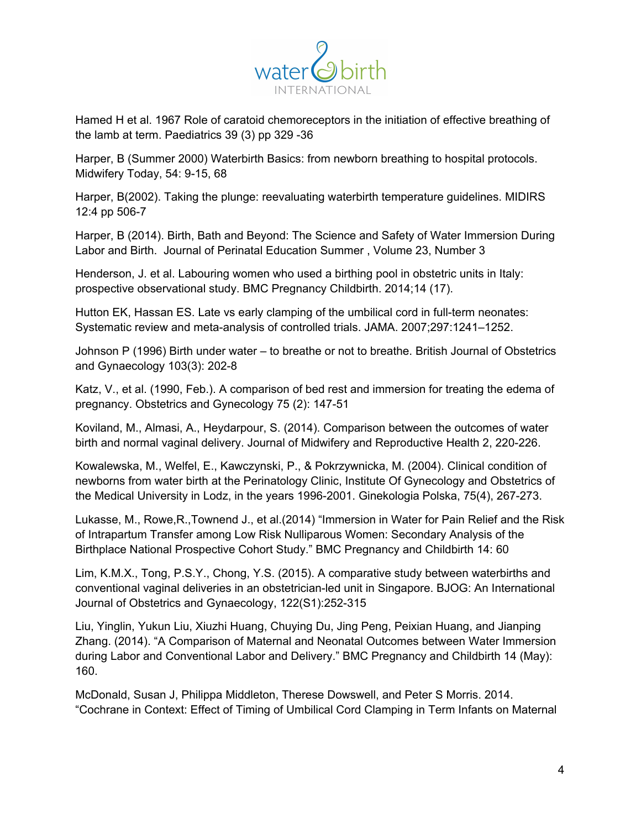

Hamed H et al. 1967 Role of caratoid chemoreceptors in the initiation of effective breathing of the lamb at term. Paediatrics 39 (3) pp 329 -36

Harper, B (Summer 2000) Waterbirth Basics: from newborn breathing to hospital protocols. Midwifery Today, 54: 9-15, 68

Harper, B(2002). Taking the plunge: reevaluating waterbirth temperature guidelines. MIDIRS 12:4 pp 506-7

Harper, B (2014). Birth, Bath and Beyond: The Science and Safety of Water Immersion During Labor and Birth. Journal of Perinatal Education Summer , Volume 23, Number 3

Henderson, J. et al. Labouring women who used a birthing pool in obstetric units in Italy: prospective observational study. BMC Pregnancy Childbirth. 2014;14 (17).

Hutton EK, Hassan ES. Late vs early clamping of the umbilical cord in full-term neonates: Systematic review and meta-analysis of controlled trials. JAMA. 2007;297:1241–1252.

Johnson P (1996) Birth under water – to breathe or not to breathe. British Journal of Obstetrics and Gynaecology 103(3): 202-8

Katz, V., et al. (1990, Feb.). A comparison of bed rest and immersion for treating the edema of pregnancy. Obstetrics and Gynecology 75 (2): 147-51

Koviland, M., Almasi, A., Heydarpour, S. (2014). Comparison between the outcomes of water birth and normal vaginal delivery. Journal of Midwifery and Reproductive Health 2, 220-226.

Kowalewska, M., Welfel, E., Kawczynski, P., & Pokrzywnicka, M. (2004). Clinical condition of newborns from water birth at the Perinatology Clinic, Institute Of Gynecology and Obstetrics of the Medical University in Lodz, in the years 1996-2001. Ginekologia Polska, 75(4), 267-273.

Lukasse, M., Rowe,R.,Townend J., et al.(2014) "Immersion in Water for Pain Relief and the Risk of Intrapartum Transfer among Low Risk Nulliparous Women: Secondary Analysis of the Birthplace National Prospective Cohort Study." BMC Pregnancy and Childbirth 14: 60

Lim, K.M.X., Tong, P.S.Y., Chong, Y.S. (2015). A comparative study between waterbirths and conventional vaginal deliveries in an obstetrician-led unit in Singapore. BJOG: An International Journal of Obstetrics and Gynaecology, 122(S1):252-315

Liu, Yinglin, Yukun Liu, Xiuzhi Huang, Chuying Du, Jing Peng, Peixian Huang, and Jianping Zhang. (2014). "A Comparison of Maternal and Neonatal Outcomes between Water Immersion during Labor and Conventional Labor and Delivery." BMC Pregnancy and Childbirth 14 (May): 160.

McDonald, Susan J, Philippa Middleton, Therese Dowswell, and Peter S Morris. 2014. "Cochrane in Context: Effect of Timing of Umbilical Cord Clamping in Term Infants on Maternal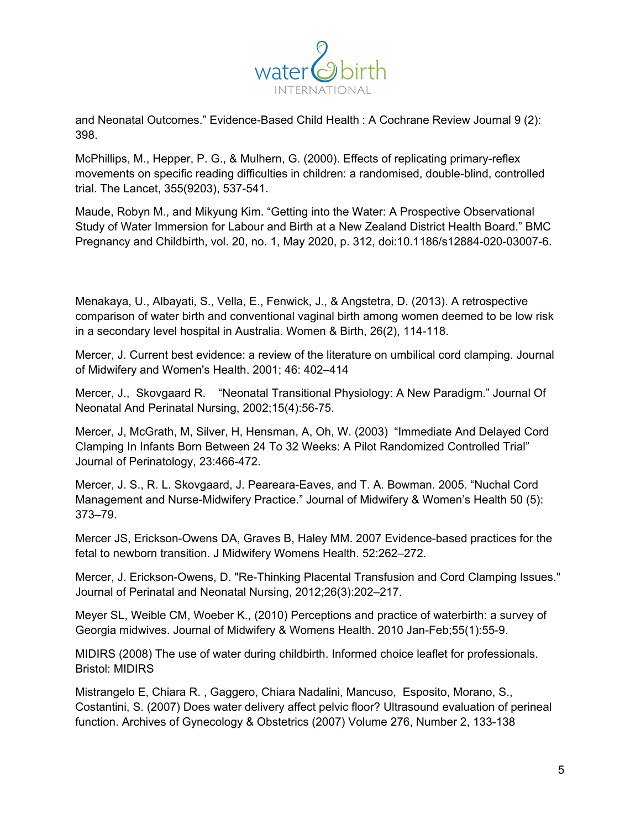

and Neonatal Outcomes." Evidence-Based Child Health : A Cochrane Review Journal 9 (2): 398.

McPhillips, M., Hepper, P. G., & Mulhern, G. (2000). Effects of replicating primary-reflex movements on specific reading difficulties in children: a randomised, double-blind, controlled trial. The Lancet, 355(9203), 537-541.

Maude, Robyn M., and Mikyung Kim. "Getting into the Water: A Prospective Observational Study of Water Immersion for Labour and Birth at a New Zealand District Health Board." BMC Pregnancy and Childbirth, vol. 20, no. 1, May 2020, p. 312, doi:10.1186/s12884-020-03007-6.

Menakaya, U., Albayati, S., Vella, E., Fenwick, J., & Angstetra, D. (2013). A retrospective comparison of water birth and conventional vaginal birth among women deemed to be low risk in a secondary level hospital in Australia. Women & Birth, 26(2), 114-118.

Mercer, J. Current best evidence: a review of the literature on umbilical cord clamping. Journal of Midwifery and Women's Health. 2001; 46: 402–414

Mercer, J., Skovgaard R. "Neonatal Transitional Physiology: A New Paradigm." Journal Of Neonatal And Perinatal Nursing, 2002;15(4):56-75.

Mercer, J, McGrath, M, Silver, H, Hensman, A, Oh, W. (2003) "Immediate And Delayed Cord Clamping In Infants Born Between 24 To 32 Weeks: A Pilot Randomized Controlled Trial" Journal of Perinatology, 23:466-472.

Mercer, J. S., R. L. Skovgaard, J. Peareara-Eaves, and T. A. Bowman. 2005. "Nuchal Cord Management and Nurse-Midwifery Practice." Journal of Midwifery & Women's Health 50 (5): 373–79.

Mercer JS, Erickson-Owens DA, Graves B, Haley MM. 2007 Evidence-based practices for the fetal to newborn transition. J Midwifery Womens Health. 52:262–272.

Mercer, J. Erickson-Owens, D. "Re-Thinking Placental Transfusion and Cord Clamping Issues." Journal of Perinatal and Neonatal Nursing, 2012;26(3):202–217.

Meyer SL, Weible CM, Woeber K., (2010) Perceptions and practice of waterbirth: a survey of Georgia midwives. Journal of Midwifery & Womens Health. 2010 Jan-Feb;55(1):55-9.

MIDIRS (2008) The use of water during childbirth. Informed choice leaflet for professionals. Bristol: MIDIRS

Mistrangelo E, Chiara R. , Gaggero, Chiara Nadalini, Mancuso, Esposito, Morano, S., Costantini, S. (2007) Does water delivery affect pelvic floor? Ultrasound evaluation of perineal function. Archives of Gynecology & Obstetrics (2007) Volume 276, Number 2, 133-138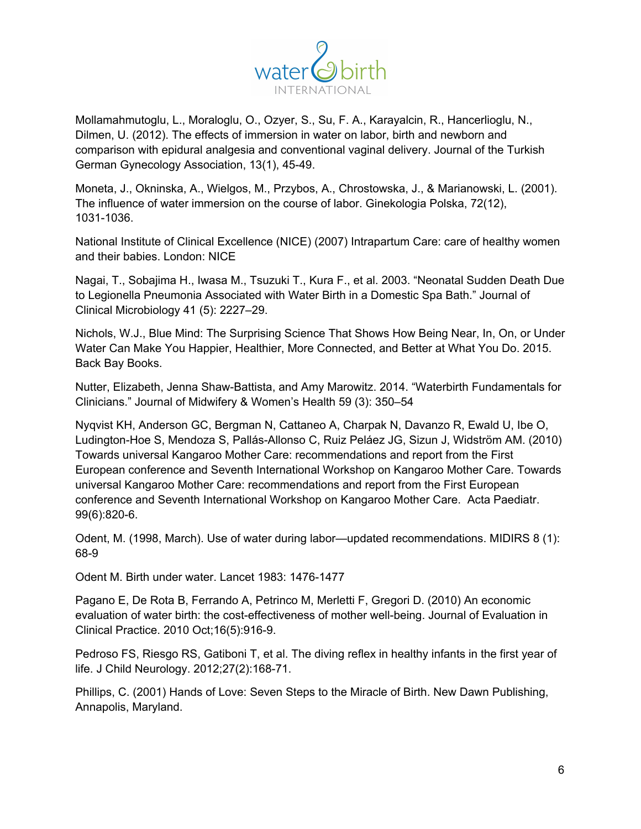

Mollamahmutoglu, L., Moraloglu, O., Ozyer, S., Su, F. A., Karayalcin, R., Hancerlioglu, N., Dilmen, U. (2012). The effects of immersion in water on labor, birth and newborn and comparison with epidural analgesia and conventional vaginal delivery. Journal of the Turkish German Gynecology Association, 13(1), 45-49.

Moneta, J., Okninska, A., Wielgos, M., Przybos, A., Chrostowska, J., & Marianowski, L. (2001). The influence of water immersion on the course of labor. Ginekologia Polska, 72(12), 1031-1036.

National Institute of Clinical Excellence (NICE) (2007) Intrapartum Care: care of healthy women and their babies. London: NICE

Nagai, T., Sobajima H., Iwasa M., Tsuzuki T., Kura F., et al. 2003. "Neonatal Sudden Death Due to Legionella Pneumonia Associated with Water Birth in a Domestic Spa Bath." Journal of Clinical Microbiology 41 (5): 2227–29.

Nichols, W.J., Blue Mind: The Surprising Science That Shows How Being Near, In, On, or Under Water Can Make You Happier, Healthier, More Connected, and Better at What You Do. 2015. Back Bay Books.

Nutter, Elizabeth, Jenna Shaw-Battista, and Amy Marowitz. 2014. "Waterbirth Fundamentals for Clinicians." Journal of Midwifery & Women's Health 59 (3): 350–54

Nyqvist KH, Anderson GC, Bergman N, Cattaneo A, Charpak N, Davanzo R, Ewald U, Ibe O, Ludington-Hoe S, Mendoza S, Pallás-Allonso C, Ruiz Peláez JG, Sizun J, Widström AM. (2010) Towards universal Kangaroo Mother Care: recommendations and report from the First European conference and Seventh International Workshop on Kangaroo Mother Care. Towards universal Kangaroo Mother Care: recommendations and report from the First European conference and Seventh International Workshop on Kangaroo Mother Care. Acta Paediatr. 99(6):820-6.

Odent, M. (1998, March). Use of water during labor—updated recommendations. MIDIRS 8 (1): 68-9

Odent M. Birth under water. Lancet 1983: 1476-1477

Pagano E, De Rota B, Ferrando A, Petrinco M, Merletti F, Gregori D. (2010) An economic evaluation of water birth: the cost-effectiveness of mother well-being. Journal of Evaluation in Clinical Practice. 2010 Oct;16(5):916-9.

Pedroso FS, Riesgo RS, Gatiboni T, et al. The diving reflex in healthy infants in the first year of life. J Child Neurology. 2012;27(2):168-71.

Phillips, C. (2001) Hands of Love: Seven Steps to the Miracle of Birth. New Dawn Publishing, Annapolis, Maryland.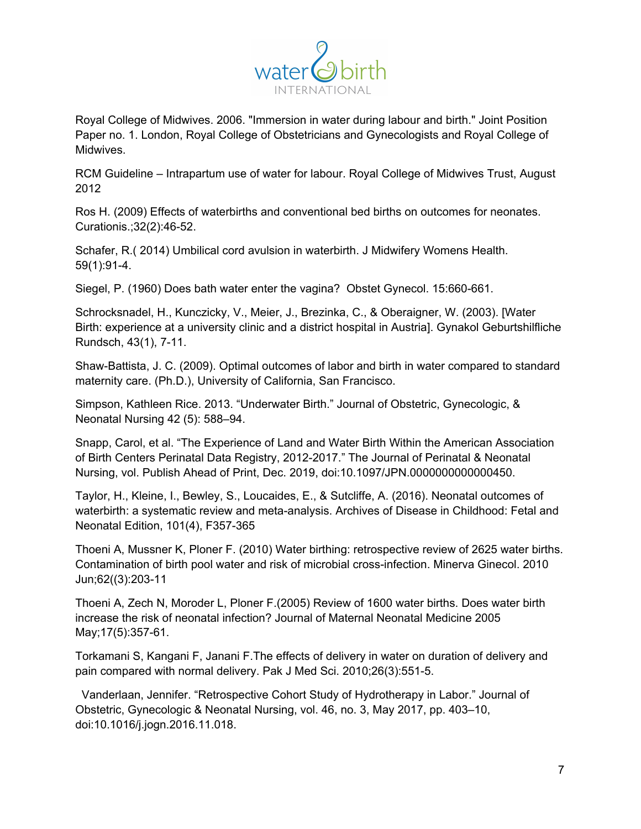

Royal College of Midwives. 2006. "Immersion in water during labour and birth." Joint Position Paper no. 1. London, Royal College of Obstetricians and Gynecologists and Royal College of Midwives.

RCM Guideline – Intrapartum use of water for labour. Royal College of Midwives Trust, August 2012

Ros H. (2009) Effects of waterbirths and conventional bed births on outcomes for neonates. Curationis.;32(2):46-52.

Schafer, R.( 2014) Umbilical cord avulsion in waterbirth. J Midwifery Womens Health. 59(1):91-4.

Siegel, P. (1960) Does bath water enter the vagina? Obstet Gynecol. 15:660-661.

Schrocksnadel, H., Kunczicky, V., Meier, J., Brezinka, C., & Oberaigner, W. (2003). [Water Birth: experience at a university clinic and a district hospital in Austria]. Gynakol Geburtshilfliche Rundsch, 43(1), 7-11.

Shaw-Battista, J. C. (2009). Optimal outcomes of labor and birth in water compared to standard maternity care. (Ph.D.), University of California, San Francisco.

Simpson, Kathleen Rice. 2013. "Underwater Birth." Journal of Obstetric, Gynecologic, & Neonatal Nursing 42 (5): 588–94.

Snapp, Carol, et al. "The Experience of Land and Water Birth Within the American Association of Birth Centers Perinatal Data Registry, 2012-2017." The Journal of Perinatal & Neonatal Nursing, vol. Publish Ahead of Print, Dec. 2019, doi:10.1097/JPN.0000000000000450.

Taylor, H., Kleine, I., Bewley, S., Loucaides, E., & Sutcliffe, A. (2016). Neonatal outcomes of waterbirth: a systematic review and meta-analysis. Archives of Disease in Childhood: Fetal and Neonatal Edition, 101(4), F357-365

Thoeni A, Mussner K, Ploner F. (2010) Water birthing: retrospective review of 2625 water births. Contamination of birth pool water and risk of microbial cross-infection. Minerva Ginecol. 2010 Jun;62((3):203-11

Thoeni A, Zech N, Moroder L, Ploner F.(2005) Review of 1600 water births. Does water birth increase the risk of neonatal infection? Journal of Maternal Neonatal Medicine 2005 May;17(5):357-61.

Torkamani S, Kangani F, Janani F.The effects of delivery in water on duration of delivery and pain compared with normal delivery. Pak J Med Sci. 2010;26(3):551-5.

Vanderlaan, Jennifer. "Retrospective Cohort Study of Hydrotherapy in Labor." Journal of Obstetric, Gynecologic & Neonatal Nursing, vol. 46, no. 3, May 2017, pp. 403–10, doi:10.1016/j.jogn.2016.11.018.